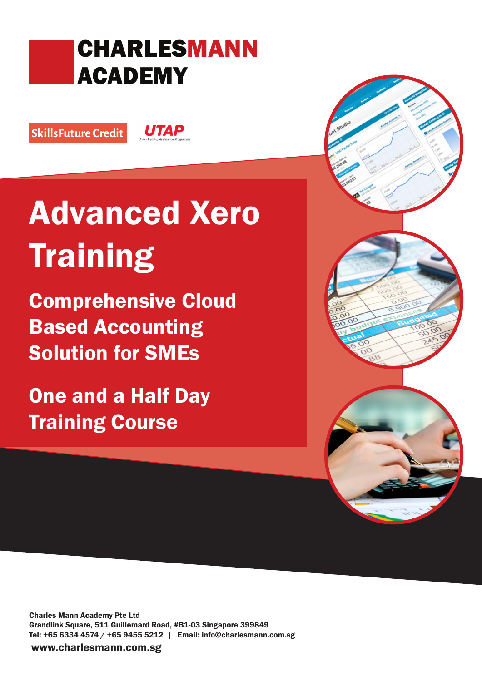## CHARLESMANN ACADEMY

SkillsFuture Credit

**UTAP** 

# Advanced Xero **Training**

Comprehensive Cloud Based Accounting Solution for SMEs

One and a Half Day Training Course

Charles Mann Academy Pte Ltd Grandlink Square, 511 Guillemard Road, #B1-03 Singapore 399849 Tel: +65 6334 4574 / +65 9455 5212 | Email: info@charlesmann.com.sg

www.charlesmann.com.sg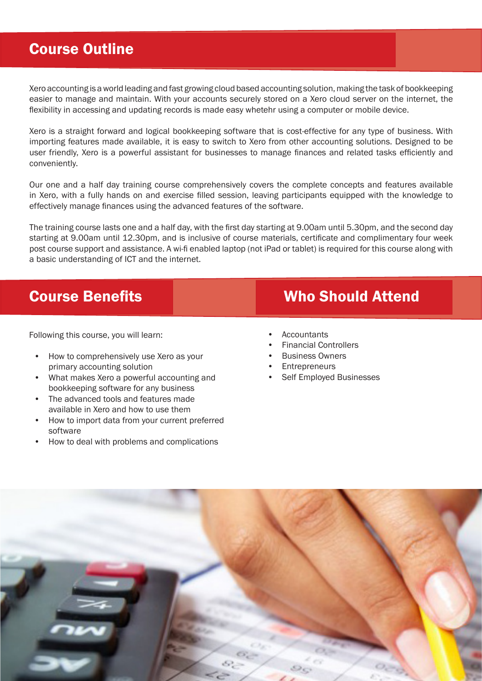#### Course Outline

Xero accounting is a world leading and fast growing cloud based accounting solution, making the task of bookkeeping easier to manage and maintain. With your accounts securely stored on a Xero cloud server on the internet, the flexibility in accessing and updating records is made easy whetehr using a computer or mobile device.

Xero is a straight forward and logical bookkeeping software that is cost-effective for any type of business. With importing features made available, it is easy to switch to Xero from other accounting solutions. Designed to be user friendly, Xero is a powerful assistant for businesses to manage finances and related tasks efficiently and conveniently.

Our one and a half day training course comprehensively covers the complete concepts and features available in Xero, with a fully hands on and exercise filled session, leaving participants equipped with the knowledge to effectively manage finances using the advanced features of the software.

The training course lasts one and a half day, with the first day starting at 9.00am until 5.30pm, and the second day starting at 9.00am until 12.30pm, and is inclusive of course materials, certificate and complimentary four week post course support and assistance. A wi-fi enabled laptop (not iPad or tablet) is required for this course along with a basic understanding of ICT and the internet.

Following this course, you will learn:

- How to comprehensively use Xero as your primary accounting solution
- What makes Xero a powerful accounting and bookkeeping software for any business
- The advanced tools and features made available in Xero and how to use them
- How to import data from your current preferred software
- How to deal with problems and complications

### **Course Benefits Course Benefits** Who Should Attend

- **Accountants**
- Financial Controllers
- Business Owners
- **Entrepreneurs**
- Self Employed Businesses

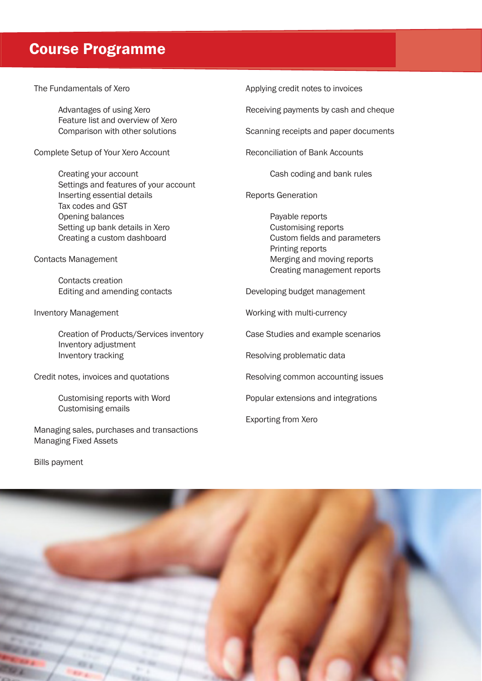#### Course Programme

The Fundamentals of Xero

Advantages of using Xero Feature list and overview of Xero Comparison with other solutions

Complete Setup of Your Xero Account

Creating your account Settings and features of your account Inserting essential details Tax codes and GST Opening balances Setting up bank details in Xero Creating a custom dashboard

Contacts Management

Contacts creation Editing and amending contacts

Inventory Management

Creation of Products/Services inventory Inventory adjustment Inventory tracking

Credit notes, invoices and quotations

Customising reports with Word Customising emails

Managing sales, purchases and transactions Managing Fixed Assets

Applying credit notes to invoices

Receiving payments by cash and cheque

Scanning receipts and paper documents

Reconciliation of Bank Accounts

Cash coding and bank rules

Reports Generation

Payable reports Customising reports Custom fields and parameters Printing reports Merging and moving reports Creating management reports

Developing budget management

Working with multi-currency

Case Studies and example scenarios

Resolving problematic data

Resolving common accounting issues

Popular extensions and integrations

Exporting from Xero

Bills payment